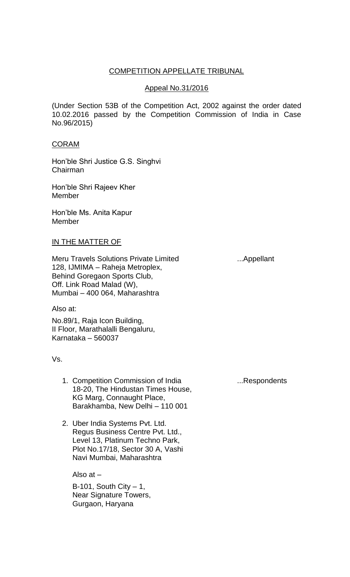## COMPETITION APPELLATE TRIBUNAL

## Appeal No.31/2016

(Under Section 53B of the Competition Act, 2002 against the order dated 10.02.2016 passed by the Competition Commission of India in Case No.96/2015)

### CORAM

Hon'ble Shri Justice G.S. Singhvi Chairman

Hon'ble Shri Rajeev Kher **Member** 

Hon'ble Ms. Anita Kapur Member

# IN THE MATTER OF

Meru Travels Solutions Private Limited .... Appellant 128, IJMIMA – Raheja Metroplex, Behind Goregaon Sports Club, Off. Link Road Malad (W), Mumbai – 400 064, Maharashtra

Also at:

No.89/1, Raja Icon Building, II Floor, Marathalalli Bengaluru, Karnataka – 560037

Vs.

- 1. Competition Commission of India ...Respondents 18-20, The Hindustan Times House, KG Marg, Connaught Place, Barakhamba, New Delhi – 110 001
- 2. Uber India Systems Pvt. Ltd. Regus Business Centre Pvt. Ltd., Level 13, Platinum Techno Park, Plot No.17/18, Sector 30 A, Vashi Navi Mumbai, Maharashtra

Also at –

 $B-101$ , South City  $-1$ , Near Signature Towers, Gurgaon, Haryana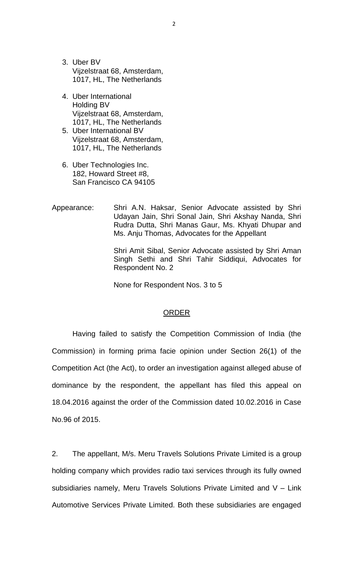- 3. Uber BV Vijzelstraat 68, Amsterdam, 1017, HL, The Netherlands
- 4. Uber International Holding BV Vijzelstraat 68, Amsterdam, 1017, HL, The Netherlands
- 5. Uber International BV Vijzelstraat 68, Amsterdam, 1017, HL, The Netherlands
- 6. Uber Technologies Inc. 182, Howard Street #8, San Francisco CA 94105
- Appearance: Shri A.N. Haksar, Senior Advocate assisted by Shri Udayan Jain, Shri Sonal Jain, Shri Akshay Nanda, Shri Rudra Dutta, Shri Manas Gaur, Ms. Khyati Dhupar and Ms. Anju Thomas, Advocates for the Appellant

Shri Amit Sibal, Senior Advocate assisted by Shri Aman Singh Sethi and Shri Tahir Siddiqui, Advocates for Respondent No. 2

None for Respondent Nos. 3 to 5

### ORDER

Having failed to satisfy the Competition Commission of India (the Commission) in forming prima facie opinion under Section 26(1) of the Competition Act (the Act), to order an investigation against alleged abuse of dominance by the respondent, the appellant has filed this appeal on 18.04.2016 against the order of the Commission dated 10.02.2016 in Case No.96 of 2015.

2. The appellant, M/s. Meru Travels Solutions Private Limited is a group holding company which provides radio taxi services through its fully owned subsidiaries namely, Meru Travels Solutions Private Limited and V – Link Automotive Services Private Limited. Both these subsidiaries are engaged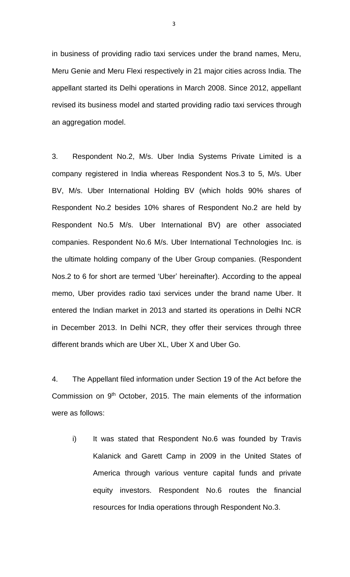in business of providing radio taxi services under the brand names, Meru, Meru Genie and Meru Flexi respectively in 21 major cities across India. The appellant started its Delhi operations in March 2008. Since 2012, appellant revised its business model and started providing radio taxi services through an aggregation model.

3. Respondent No.2, M/s. Uber India Systems Private Limited is a company registered in India whereas Respondent Nos.3 to 5, M/s. Uber BV, M/s. Uber International Holding BV (which holds 90% shares of Respondent No.2 besides 10% shares of Respondent No.2 are held by Respondent No.5 M/s. Uber International BV) are other associated companies. Respondent No.6 M/s. Uber International Technologies Inc. is the ultimate holding company of the Uber Group companies. (Respondent Nos.2 to 6 for short are termed 'Uber' hereinafter). According to the appeal memo, Uber provides radio taxi services under the brand name Uber. It entered the Indian market in 2013 and started its operations in Delhi NCR in December 2013. In Delhi NCR, they offer their services through three different brands which are Uber XL, Uber X and Uber Go.

4. The Appellant filed information under Section 19 of the Act before the Commission on 9<sup>th</sup> October, 2015. The main elements of the information were as follows:

i) It was stated that Respondent No.6 was founded by Travis Kalanick and Garett Camp in 2009 in the United States of America through various venture capital funds and private equity investors. Respondent No.6 routes the financial resources for India operations through Respondent No.3.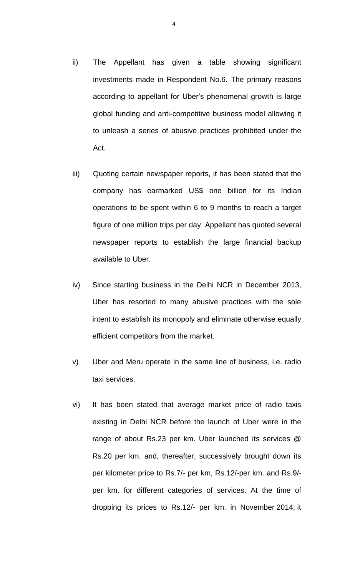- ii) The Appellant has given a table showing significant investments made in Respondent No.6. The primary reasons according to appellant for Uber's phenomenal growth is large global funding and anti-competitive business model allowing it to unleash a series of abusive practices prohibited under the Act.
- iii) Quoting certain newspaper reports, it has been stated that the company has earmarked US\$ one billion for its Indian operations to be spent within 6 to 9 months to reach a target figure of one million trips per day. Appellant has quoted several newspaper reports to establish the large financial backup available to Uber.
- iv) Since starting business in the Delhi NCR in December 2013, Uber has resorted to many abusive practices with the sole intent to establish its monopoly and eliminate otherwise equally efficient competitors from the market.
- v) Uber and Meru operate in the same line of business, i.e. radio taxi services.
- vi) It has been stated that average market price of radio taxis existing in Delhi NCR before the launch of Uber were in the range of about Rs.23 per km. Uber launched its services @ Rs.20 per km. and, thereafter, successively brought down its per kilometer price to Rs.7/- per km, Rs.12/-per km. and Rs.9/ per km. for different categories of services. At the time of dropping its prices to Rs.12/- per km. in November 2014, it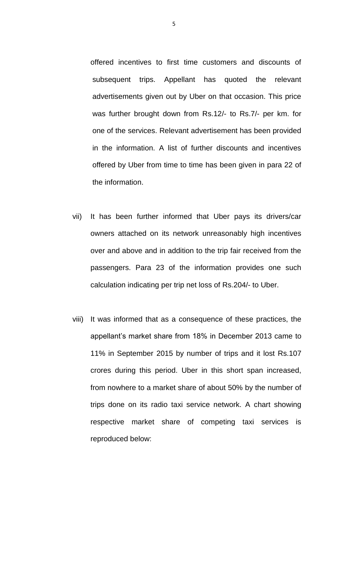offered incentives to first time customers and discounts of subsequent trips. Appellant has quoted the relevant advertisements given out by Uber on that occasion. This price was further brought down from Rs.12/- to Rs.7/- per km. for one of the services. Relevant advertisement has been provided in the information. A list of further discounts and incentives offered by Uber from time to time has been given in para 22 of the information.

- vii) It has been further informed that Uber pays its drivers/car owners attached on its network unreasonably high incentives over and above and in addition to the trip fair received from the passengers. Para 23 of the information provides one such calculation indicating per trip net loss of Rs.204/- to Uber.
- viii) It was informed that as a consequence of these practices, the appellant's market share from 18% in December 2013 came to 11% in September 2015 by number of trips and it lost Rs.107 crores during this period. Uber in this short span increased, from nowhere to a market share of about 50% by the number of trips done on its radio taxi service network. A chart showing respective market share of competing taxi services is reproduced below: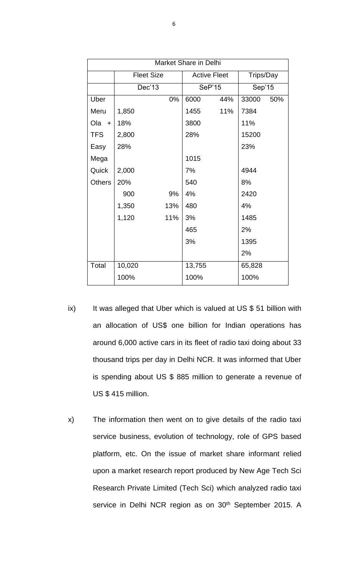| <b>Market Share in Delhi</b> |                   |     |                     |     |           |     |  |  |
|------------------------------|-------------------|-----|---------------------|-----|-----------|-----|--|--|
|                              | <b>Fleet Size</b> |     | <b>Active Fleet</b> |     | Trips/Day |     |  |  |
|                              | Dec'13            |     | <b>SeP'15</b>       |     | Sep'15    |     |  |  |
| Uber                         |                   | 0%  | 6000                | 44% | 33000     | 50% |  |  |
| Meru                         | 1,850             |     | 1455                | 11% | 7384      |     |  |  |
| Ola +                        | 18%               |     | 3800                |     | 11%       |     |  |  |
| <b>TFS</b>                   | 2,800             |     | 28%                 |     | 15200     |     |  |  |
| Easy                         | 28%               |     |                     |     | 23%       |     |  |  |
| Mega                         |                   |     | 1015                |     |           |     |  |  |
| Quick                        | 2,000             |     | 7%                  |     | 4944      |     |  |  |
| <b>Others</b>                | 20%               |     | 540                 |     | 8%        |     |  |  |
|                              | 900               | 9%  | 4%                  |     | 2420      |     |  |  |
|                              | 1,350             | 13% | 480                 |     | 4%        |     |  |  |
|                              | 1,120             | 11% | 3%                  |     | 1485      |     |  |  |
|                              |                   |     | 465                 |     | 2%        |     |  |  |
|                              |                   |     | 3%                  |     | 1395      |     |  |  |
|                              |                   |     |                     |     | 2%        |     |  |  |
| Total                        | 10,020            |     | 13,755              |     | 65,828    |     |  |  |
|                              | 100%              |     | 100%                |     | 100%      |     |  |  |

- ix) It was alleged that Uber which is valued at US \$ 51 billion with an allocation of US\$ one billion for Indian operations has around 6,000 active cars in its fleet of radio taxi doing about 33 thousand trips per day in Delhi NCR. It was informed that Uber is spending about US \$ 885 million to generate a revenue of US \$ 415 million.
- x) The information then went on to give details of the radio taxi service business, evolution of technology, role of GPS based platform, etc. On the issue of market share informant relied upon a market research report produced by New Age Tech Sci Research Private Limited (Tech Sci) which analyzed radio taxi service in Delhi NCR region as on 30<sup>th</sup> September 2015. A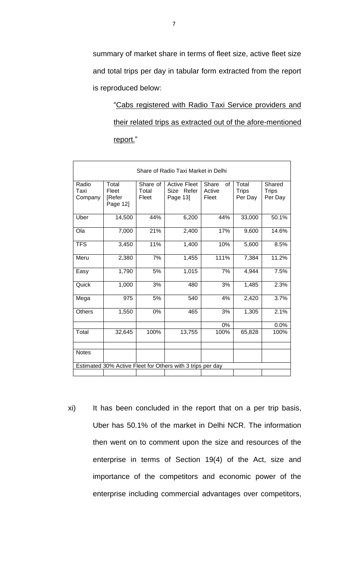summary of market share in terms of fleet size, active fleet size and total trips per day in tabular form extracted from the report is reproduced below:

"Cabs registered with Radio Taxi Service providers and their related trips as extracted out of the afore-mentioned report."

| Share of Radio Taxi Market in Delhi                        |                                      |                            |                                               |                                |                                  |                                   |  |  |
|------------------------------------------------------------|--------------------------------------|----------------------------|-----------------------------------------------|--------------------------------|----------------------------------|-----------------------------------|--|--|
| Radio<br>Taxi<br>Company                                   | Total<br>Fleet<br>[Refer<br>Page 12] | Share of<br>Total<br>Fleet | <b>Active Fleet</b><br>Size Refer<br>Page 13] | Share<br>οf<br>Active<br>Fleet | Total<br><b>Trips</b><br>Per Day | Shared<br><b>Trips</b><br>Per Day |  |  |
| Uber                                                       | 14,500                               | 44%                        | 6,200                                         | 44%                            | 33,000                           | 50.1%                             |  |  |
| Ola                                                        | 7,000                                | 21%                        | 2,400                                         | 17%                            | 9,600                            | 14.6%                             |  |  |
| <b>TFS</b>                                                 | 3,450                                | 11%                        | 1,400                                         | 10%                            | 5,600                            | 8.5%                              |  |  |
| Meru                                                       | 2,380                                | 7%                         | 1,455                                         | 111%                           | 7,384                            | 11.2%                             |  |  |
| Easy                                                       | 1,790                                | 5%                         | 1,015                                         | 7%                             | 4,944                            | 7.5%                              |  |  |
| Quick                                                      | 1,000                                | 3%                         | 480                                           | 3%                             | 1,485                            | 2.3%                              |  |  |
| Mega                                                       | 975                                  | 5%                         | 540                                           | 4%                             | 2,420                            | 3.7%                              |  |  |
| <b>Others</b>                                              | 1,550                                | 0%                         | 465                                           | 3%                             | 1,305                            | 2.1%                              |  |  |
|                                                            |                                      |                            |                                               | 0%                             |                                  | 0.0%                              |  |  |
| Total                                                      | 32,645                               | 100%                       | 13,755                                        | 100%                           | 65,828                           | 100%                              |  |  |
| <b>Notes</b>                                               |                                      |                            |                                               |                                |                                  |                                   |  |  |
| Estimated 30% Active Fleet for Others with 3 trips per day |                                      |                            |                                               |                                |                                  |                                   |  |  |
|                                                            |                                      |                            |                                               |                                |                                  |                                   |  |  |

xi) It has been concluded in the report that on a per trip basis, Uber has 50.1% of the market in Delhi NCR. The information then went on to comment upon the size and resources of the enterprise in terms of Section 19(4) of the Act, size and importance of the competitors and economic power of the enterprise including commercial advantages over competitors,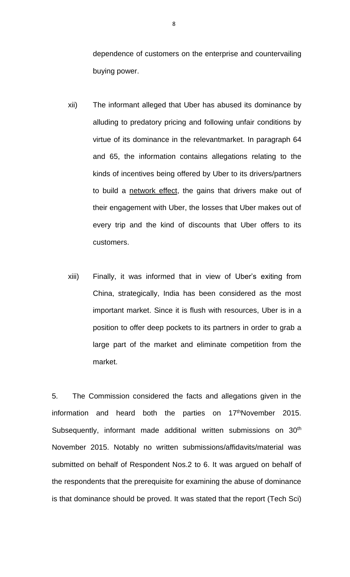dependence of customers on the enterprise and countervailing buying power.

- xii) The informant alleged that Uber has abused its dominance by alluding to predatory pricing and following unfair conditions by virtue of its dominance in the relevantmarket. In paragraph 64 and 65, the information contains allegations relating to the kinds of incentives being offered by Uber to its drivers/partners to build a network effect, the gains that drivers make out of their engagement with Uber, the losses that Uber makes out of every trip and the kind of discounts that Uber offers to its customers.
- xiii) Finally, it was informed that in view of Uber's exiting from China, strategically, India has been considered as the most important market. Since it is flush with resources, Uber is in a position to offer deep pockets to its partners in order to grab a large part of the market and eliminate competition from the market.

5. The Commission considered the facts and allegations given in the information and heard both the parties on 17thNovember 2015. Subsequently, informant made additional written submissions on 30<sup>th</sup> November 2015. Notably no written submissions/affidavits/material was submitted on behalf of Respondent Nos.2 to 6. It was argued on behalf of the respondents that the prerequisite for examining the abuse of dominance is that dominance should be proved. It was stated that the report (Tech Sci)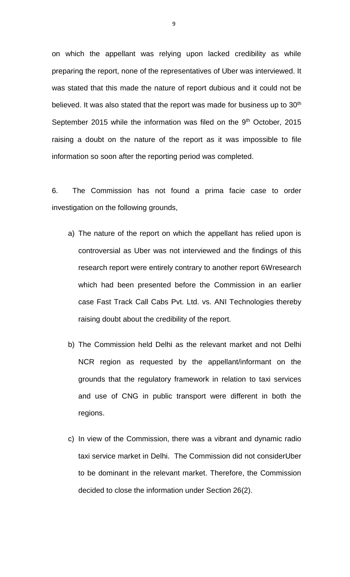on which the appellant was relying upon lacked credibility as while preparing the report, none of the representatives of Uber was interviewed. It was stated that this made the nature of report dubious and it could not be believed. It was also stated that the report was made for business up to 30<sup>th</sup> September 2015 while the information was filed on the 9<sup>th</sup> October, 2015 raising a doubt on the nature of the report as it was impossible to file information so soon after the reporting period was completed.

6. The Commission has not found a prima facie case to order investigation on the following grounds,

- a) The nature of the report on which the appellant has relied upon is controversial as Uber was not interviewed and the findings of this research report were entirely contrary to another report 6Wresearch which had been presented before the Commission in an earlier case Fast Track Call Cabs Pvt. Ltd. vs. ANI Technologies thereby raising doubt about the credibility of the report.
- b) The Commission held Delhi as the relevant market and not Delhi NCR region as requested by the appellant/informant on the grounds that the regulatory framework in relation to taxi services and use of CNG in public transport were different in both the regions.
- c) In view of the Commission, there was a vibrant and dynamic radio taxi service market in Delhi. The Commission did not considerUber to be dominant in the relevant market. Therefore, the Commission decided to close the information under Section 26(2).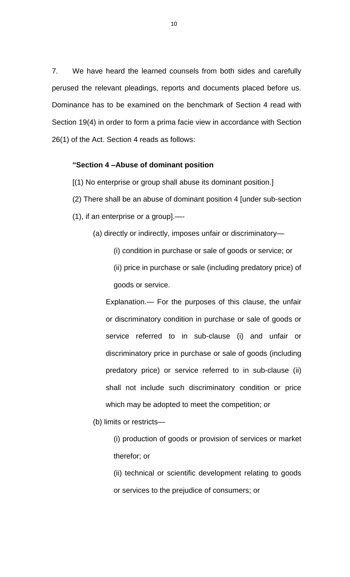7. We have heard the learned counsels from both sides and carefully perused the relevant pleadings, reports and documents placed before us. Dominance has to be examined on the benchmark of Section 4 read with Section 19(4) in order to form a prima facie view in accordance with Section 26(1) of the Act. Section 4 reads as follows:

#### **"Section 4 –Abuse of dominant position**

[(1) No enterprise or group shall abuse its dominant position.]

- (2) There shall be an abuse of dominant position 4 [under sub-section
- (1), if an enterprise or a group].—-

(a) directly or indirectly, imposes unfair or discriminatory—

(i) condition in purchase or sale of goods or service; or

(ii) price in purchase or sale (including predatory price) of goods or service.

Explanation.— For the purposes of this clause, the unfair or discriminatory condition in purchase or sale of goods or service referred to in sub-clause (i) and unfair or discriminatory price in purchase or sale of goods (including predatory price) or service referred to in sub-clause (ii) shall not include such discriminatory condition or price which may be adopted to meet the competition; or

(b) limits or restricts—

(i) production of goods or provision of services or market therefor; or

(ii) technical or scientific development relating to goods or services to the prejudice of consumers; or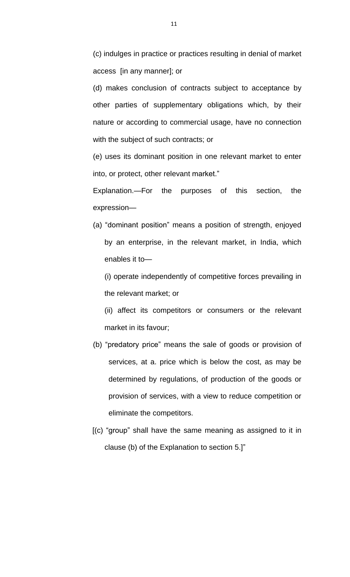(c) indulges in practice or practices resulting in denial of market access [in any manner]; or

(d) makes conclusion of contracts subject to acceptance by other parties of supplementary obligations which, by their nature or according to commercial usage, have no connection with the subject of such contracts; or

(e) uses its dominant position in one relevant market to enter into, or protect, other relevant market."

Explanation.—For the purposes of this section, the expression—

(a) "dominant position" means a position of strength, enjoyed by an enterprise, in the relevant market, in India, which enables it to—

(i) operate independently of competitive forces prevailing in the relevant market; or

(ii) affect its competitors or consumers or the relevant market in its favour;

- (b) "predatory price" means the sale of goods or provision of services, at a. price which is below the cost, as may be determined by regulations, of production of the goods or provision of services, with a view to reduce competition or eliminate the competitors.
- [(c) "group" shall have the same meaning as assigned to it in clause (b) of the Explanation to section 5.]"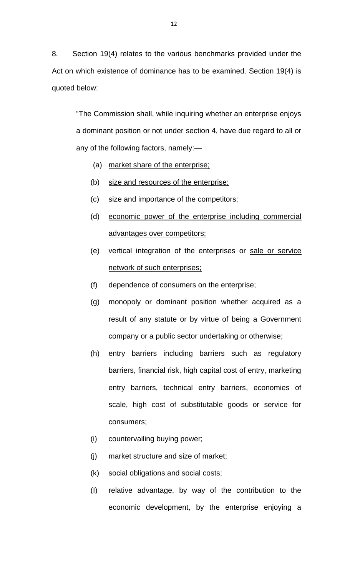8. Section 19(4) relates to the various benchmarks provided under the Act on which existence of dominance has to be examined. Section 19(4) is quoted below:

"The Commission shall, while inquiring whether an enterprise enjoys a dominant position or not under section 4, have due regard to all or any of the following factors, namely:—

- (a) market share of the enterprise;
- (b) size and resources of the enterprise;
- (c) size and importance of the competitors;
- (d) economic power of the enterprise including commercial advantages over competitors;
- (e) vertical integration of the enterprises or sale or service network of such enterprises;
- (f) dependence of consumers on the enterprise;
- (g) monopoly or dominant position whether acquired as a result of any statute or by virtue of being a Government company or a public sector undertaking or otherwise;
- (h) entry barriers including barriers such as regulatory barriers, financial risk, high capital cost of entry, marketing entry barriers, technical entry barriers, economies of scale, high cost of substitutable goods or service for consumers;
- (i) countervailing buying power;
- (j) market structure and size of market;
- (k) social obligations and social costs;
- (I) relative advantage, by way of the contribution to the economic development, by the enterprise enjoying a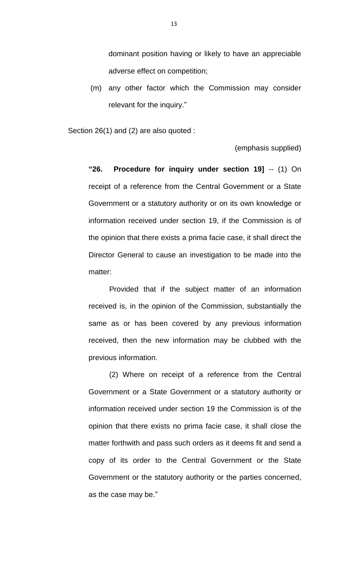dominant position having or likely to have an appreciable adverse effect on competition;

(m) any other factor which the Commission may consider relevant for the inquiry."

Section 26(1) and (2) are also quoted :

(emphasis supplied)

**"26. Procedure for inquiry under section 19]** -- (1) On receipt of a reference from the Central Government or a State Government or a statutory authority or on its own knowledge or information received under section 19, if the Commission is of the opinion that there exists a prima facie case, it shall direct the Director General to cause an investigation to be made into the matter:

Provided that if the subject matter of an information received is, in the opinion of the Commission, substantially the same as or has been covered by any previous information received, then the new information may be clubbed with the previous information.

(2) Where on receipt of a reference from the Central Government or a State Government or a statutory authority or information received under section 19 the Commission is of the opinion that there exists no prima facie case, it shall close the matter forthwith and pass such orders as it deems fit and send a copy of its order to the Central Government or the State Government or the statutory authority or the parties concerned, as the case may be."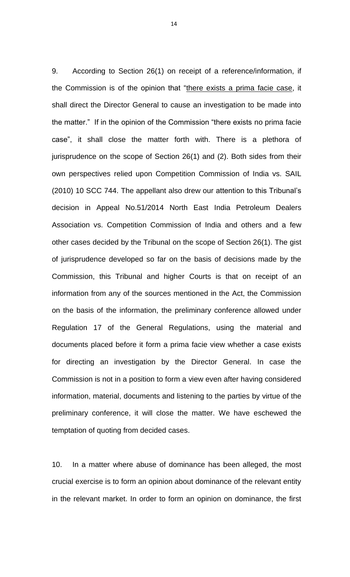9. According to Section 26(1) on receipt of a reference/information, if the Commission is of the opinion that "there exists a prima facie case, it shall direct the Director General to cause an investigation to be made into the matter." If in the opinion of the Commission "there exists no prima facie case", it shall close the matter forth with. There is a plethora of jurisprudence on the scope of Section 26(1) and (2). Both sides from their own perspectives relied upon Competition Commission of India vs. SAIL (2010) 10 SCC 744. The appellant also drew our attention to this Tribunal's decision in Appeal No.51/2014 North East India Petroleum Dealers Association vs. Competition Commission of India and others and a few other cases decided by the Tribunal on the scope of Section 26(1). The gist of jurisprudence developed so far on the basis of decisions made by the Commission, this Tribunal and higher Courts is that on receipt of an information from any of the sources mentioned in the Act, the Commission on the basis of the information, the preliminary conference allowed under Regulation 17 of the General Regulations, using the material and documents placed before it form a prima facie view whether a case exists for directing an investigation by the Director General. In case the Commission is not in a position to form a view even after having considered information, material, documents and listening to the parties by virtue of the preliminary conference, it will close the matter. We have eschewed the temptation of quoting from decided cases.

10. In a matter where abuse of dominance has been alleged, the most crucial exercise is to form an opinion about dominance of the relevant entity in the relevant market. In order to form an opinion on dominance, the first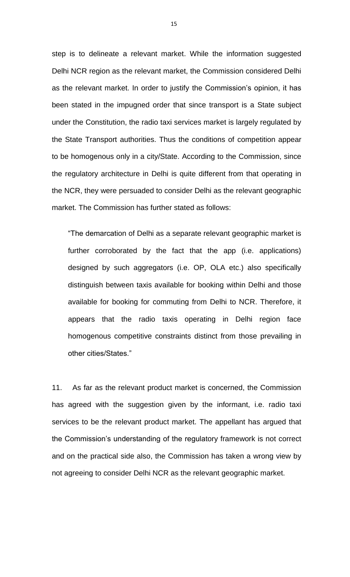step is to delineate a relevant market. While the information suggested Delhi NCR region as the relevant market, the Commission considered Delhi as the relevant market. In order to justify the Commission's opinion, it has been stated in the impugned order that since transport is a State subject under the Constitution, the radio taxi services market is largely regulated by the State Transport authorities. Thus the conditions of competition appear to be homogenous only in a city/State. According to the Commission, since the regulatory architecture in Delhi is quite different from that operating in the NCR, they were persuaded to consider Delhi as the relevant geographic market. The Commission has further stated as follows:

"The demarcation of Delhi as a separate relevant geographic market is further corroborated by the fact that the app (i.e. applications) designed by such aggregators (i.e. OP, OLA etc.) also specifically distinguish between taxis available for booking within Delhi and those available for booking for commuting from Delhi to NCR. Therefore, it appears that the radio taxis operating in Delhi region face homogenous competitive constraints distinct from those prevailing in other cities/States."

11. As far as the relevant product market is concerned, the Commission has agreed with the suggestion given by the informant, i.e. radio taxi services to be the relevant product market. The appellant has argued that the Commission's understanding of the regulatory framework is not correct and on the practical side also, the Commission has taken a wrong view by not agreeing to consider Delhi NCR as the relevant geographic market.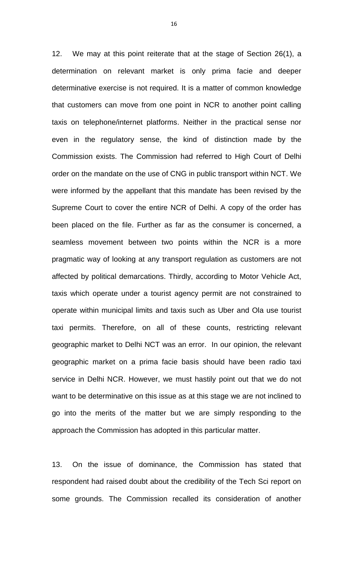12. We may at this point reiterate that at the stage of Section 26(1), a determination on relevant market is only prima facie and deeper determinative exercise is not required. It is a matter of common knowledge that customers can move from one point in NCR to another point calling taxis on telephone/internet platforms. Neither in the practical sense nor even in the regulatory sense, the kind of distinction made by the Commission exists. The Commission had referred to High Court of Delhi order on the mandate on the use of CNG in public transport within NCT. We were informed by the appellant that this mandate has been revised by the Supreme Court to cover the entire NCR of Delhi. A copy of the order has been placed on the file. Further as far as the consumer is concerned, a seamless movement between two points within the NCR is a more pragmatic way of looking at any transport regulation as customers are not affected by political demarcations. Thirdly, according to Motor Vehicle Act, taxis which operate under a tourist agency permit are not constrained to operate within municipal limits and taxis such as Uber and Ola use tourist taxi permits. Therefore, on all of these counts, restricting relevant geographic market to Delhi NCT was an error. In our opinion, the relevant geographic market on a prima facie basis should have been radio taxi service in Delhi NCR. However, we must hastily point out that we do not want to be determinative on this issue as at this stage we are not inclined to go into the merits of the matter but we are simply responding to the approach the Commission has adopted in this particular matter.

13. On the issue of dominance, the Commission has stated that respondent had raised doubt about the credibility of the Tech Sci report on some grounds. The Commission recalled its consideration of another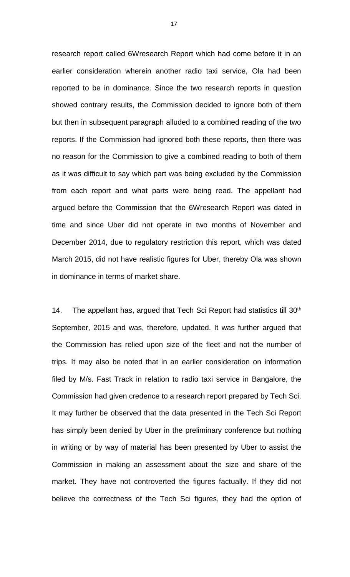research report called 6Wresearch Report which had come before it in an earlier consideration wherein another radio taxi service, Ola had been reported to be in dominance. Since the two research reports in question showed contrary results, the Commission decided to ignore both of them but then in subsequent paragraph alluded to a combined reading of the two reports. If the Commission had ignored both these reports, then there was no reason for the Commission to give a combined reading to both of them as it was difficult to say which part was being excluded by the Commission from each report and what parts were being read. The appellant had argued before the Commission that the 6Wresearch Report was dated in time and since Uber did not operate in two months of November and December 2014, due to regulatory restriction this report, which was dated March 2015, did not have realistic figures for Uber, thereby Ola was shown in dominance in terms of market share.

14. The appellant has, argued that Tech Sci Report had statistics till 30<sup>th</sup> September, 2015 and was, therefore, updated. It was further argued that the Commission has relied upon size of the fleet and not the number of trips. It may also be noted that in an earlier consideration on information filed by M/s. Fast Track in relation to radio taxi service in Bangalore, the Commission had given credence to a research report prepared by Tech Sci. It may further be observed that the data presented in the Tech Sci Report has simply been denied by Uber in the preliminary conference but nothing in writing or by way of material has been presented by Uber to assist the Commission in making an assessment about the size and share of the market. They have not controverted the figures factually. If they did not believe the correctness of the Tech Sci figures, they had the option of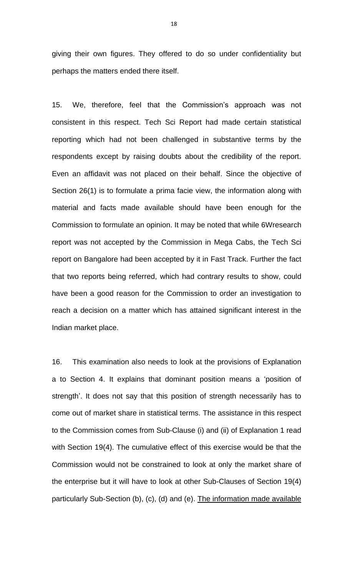giving their own figures. They offered to do so under confidentiality but perhaps the matters ended there itself.

15. We, therefore, feel that the Commission's approach was not consistent in this respect. Tech Sci Report had made certain statistical reporting which had not been challenged in substantive terms by the respondents except by raising doubts about the credibility of the report. Even an affidavit was not placed on their behalf. Since the objective of Section 26(1) is to formulate a prima facie view, the information along with material and facts made available should have been enough for the Commission to formulate an opinion. It may be noted that while 6Wresearch report was not accepted by the Commission in Mega Cabs, the Tech Sci report on Bangalore had been accepted by it in Fast Track. Further the fact that two reports being referred, which had contrary results to show, could have been a good reason for the Commission to order an investigation to reach a decision on a matter which has attained significant interest in the Indian market place.

16. This examination also needs to look at the provisions of Explanation a to Section 4. It explains that dominant position means a 'position of strength'. It does not say that this position of strength necessarily has to come out of market share in statistical terms. The assistance in this respect to the Commission comes from Sub-Clause (i) and (ii) of Explanation 1 read with Section 19(4). The cumulative effect of this exercise would be that the Commission would not be constrained to look at only the market share of the enterprise but it will have to look at other Sub-Clauses of Section 19(4) particularly Sub-Section (b), (c), (d) and (e). The information made available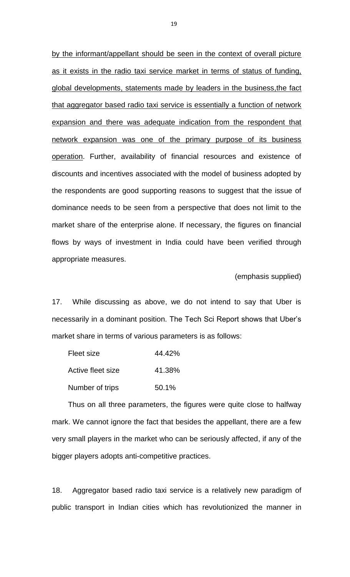by the informant/appellant should be seen in the context of overall picture as it exists in the radio taxi service market in terms of status of funding, global developments, statements made by leaders in the business,the fact that aggregator based radio taxi service is essentially a function of network expansion and there was adequate indication from the respondent that network expansion was one of the primary purpose of its business operation. Further, availability of financial resources and existence of discounts and incentives associated with the model of business adopted by the respondents are good supporting reasons to suggest that the issue of dominance needs to be seen from a perspective that does not limit to the market share of the enterprise alone. If necessary, the figures on financial flows by ways of investment in India could have been verified through appropriate measures.

(emphasis supplied)

17. While discussing as above, we do not intend to say that Uber is necessarily in a dominant position. The Tech Sci Report shows that Uber's market share in terms of various parameters is as follows:

| Fleet size        | 44.42% |
|-------------------|--------|
| Active fleet size | 41.38% |
| Number of trips   | 50.1%  |

Thus on all three parameters, the figures were quite close to halfway mark. We cannot ignore the fact that besides the appellant, there are a few very small players in the market who can be seriously affected, if any of the bigger players adopts anti-competitive practices.

18. Aggregator based radio taxi service is a relatively new paradigm of public transport in Indian cities which has revolutionized the manner in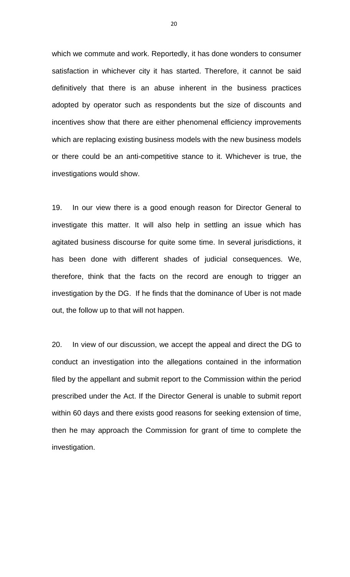which we commute and work. Reportedly, it has done wonders to consumer satisfaction in whichever city it has started. Therefore, it cannot be said definitively that there is an abuse inherent in the business practices adopted by operator such as respondents but the size of discounts and incentives show that there are either phenomenal efficiency improvements which are replacing existing business models with the new business models or there could be an anti-competitive stance to it. Whichever is true, the investigations would show.

19. In our view there is a good enough reason for Director General to investigate this matter. It will also help in settling an issue which has agitated business discourse for quite some time. In several jurisdictions, it has been done with different shades of judicial consequences. We, therefore, think that the facts on the record are enough to trigger an investigation by the DG. If he finds that the dominance of Uber is not made out, the follow up to that will not happen.

20. In view of our discussion, we accept the appeal and direct the DG to conduct an investigation into the allegations contained in the information filed by the appellant and submit report to the Commission within the period prescribed under the Act. If the Director General is unable to submit report within 60 days and there exists good reasons for seeking extension of time, then he may approach the Commission for grant of time to complete the investigation.